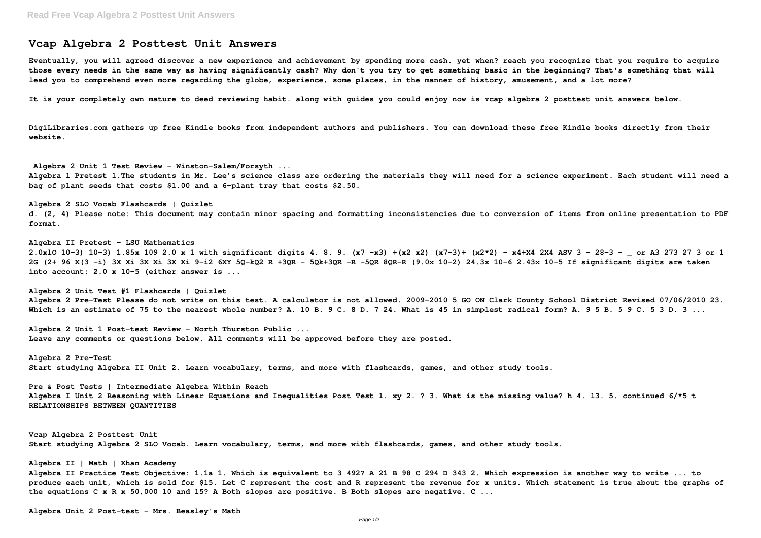## **Vcap Algebra 2 Posttest Unit Answers**

**Eventually, you will agreed discover a new experience and achievement by spending more cash. yet when? reach you recognize that you require to acquire those every needs in the same way as having significantly cash? Why don't you try to get something basic in the beginning? That's something that will lead you to comprehend even more regarding the globe, experience, some places, in the manner of history, amusement, and a lot more?**

**It is your completely own mature to deed reviewing habit. along with guides you could enjoy now is vcap algebra 2 posttest unit answers below.**

**DigiLibraries.com gathers up free Kindle books from independent authors and publishers. You can download these free Kindle books directly from their website.**

**Algebra 2 Unit 1 Test Review - Winston-Salem/Forsyth ... Algebra 1 Pretest 1.The students in Mr. Lee's science class are ordering the materials they will need for a science experiment. Each student will need a bag of plant seeds that costs \$1.00 and a 6-plant tray that costs \$2.50.**

**Algebra 2 SLO Vocab Flashcards | Quizlet d. (2, 4) Please note: This document may contain minor spacing and formatting inconsistencies due to conversion of items from online presentation to PDF format.**

**Algebra II Pretest - LSU Mathematics 2.0xlO 10-3) 10-3) 1.85x 109 2.0 x 1 with significant digits 4. 8. 9. (x7 -x3) +(x2 x2) (x7-3)+ (x2\*2) - x4+X4 2X4 ASV 3 - 28-3 - \_ or A3 273 27 3 or 1 2G (2+ 96 X(3 -i) 3X Xi 3X Xi 3X Xi 9-i2 6XY 5Q-kQ2 R +3QR - 5Qk+3QR -R -5QR 8QR-R (9.0x 10-2) 24.3x 10-6 2.43x 10-5 If significant digits are taken into account: 2.0 x 10-5 (either answer is ...**

**Algebra 2 Unit Test #1 Flashcards | Quizlet Algebra 2 Pre-Test Please do not write on this test. A calculator is not allowed. 2009–2010 5 GO ON Clark County School District Revised 07/06/2010 23. Which is an estimate of 75 to the nearest whole number? A. 10 B. 9 C. 8 D. 7 24. What is 45 in simplest radical form? A. 9 5 B. 5 9 C. 5 3 D. 3 ...**

**Algebra 2 Unit 1 Post-test Review - North Thurston Public ... Leave any comments or questions below. All comments will be approved before they are posted.**

**Algebra 2 Pre-Test Start studying Algebra II Unit 2. Learn vocabulary, terms, and more with flashcards, games, and other study tools.**

**Pre & Post Tests | Intermediate Algebra Within Reach Algebra I Unit 2 Reasoning with Linear Equations and Inequalities Post Test 1. xy 2. ? 3. What is the missing value? h 4. 13. 5. continued 6/\*5 t RELATIONSHIPS BETWEEN QUANTITIES**

**Vcap Algebra 2 Posttest Unit Start studying Algebra 2 SLO Vocab. Learn vocabulary, terms, and more with flashcards, games, and other study tools.**

**Algebra II | Math | Khan Academy Algebra II Practice Test Objective: 1.1a 1. Which is equivalent to 3 492? A 21 B 98 C 294 D 343 2. Which expression is another way to write ... to produce each unit, which is sold for \$15. Let C represent the cost and R represent the revenue for x units. Which statement is true about the graphs of the equations C x R x 50,000 10 and 15? A Both slopes are positive. B Both slopes are negative. C ...**

**Algebra Unit 2 Post-test - Mrs. Beasley's Math**